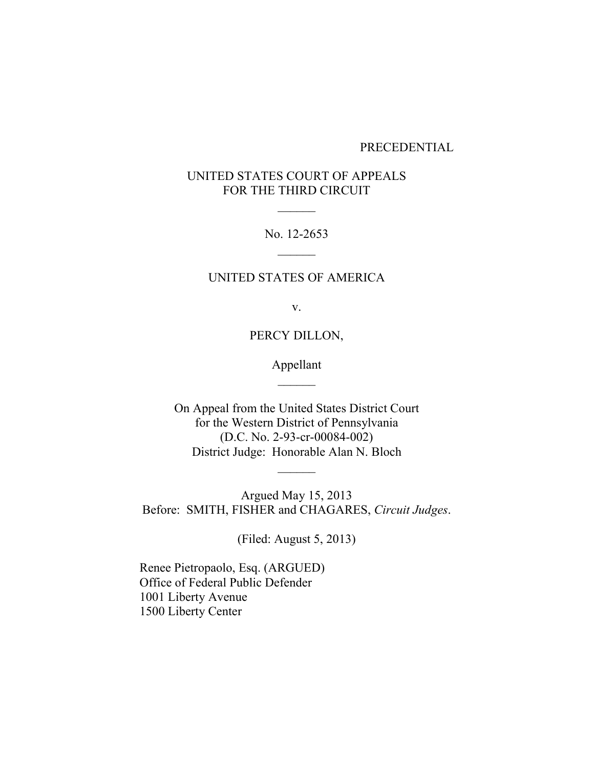#### PRECEDENTIAL

# UNITED STATES COURT OF APPEALS FOR THE THIRD CIRCUIT

 $\frac{1}{2}$ 

No. 12-2653  $\overline{\phantom{a}}$ 

## UNITED STATES OF AMERICA

v.

PERCY DILLON,

Appellant  $\overline{\phantom{a}}$ 

On Appeal from the United States District Court for the Western District of Pennsylvania (D.C. No. 2-93-cr-00084-002) District Judge: Honorable Alan N. Bloch

 $\overline{\phantom{a}}$ 

Argued May 15, 2013 Before: SMITH, FISHER and CHAGARES, *Circuit Judges*.

(Filed: August 5, 2013)

Renee Pietropaolo, Esq. (ARGUED) Office of Federal Public Defender 1001 Liberty Avenue 1500 Liberty Center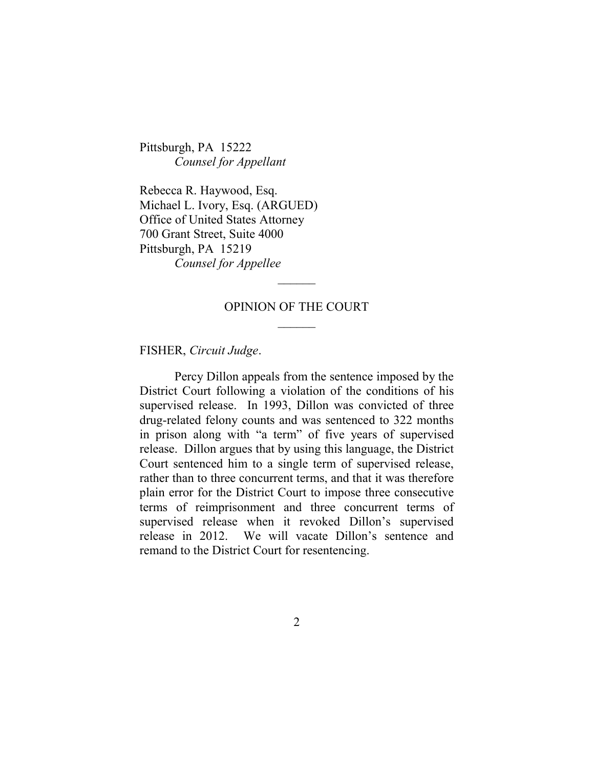Pittsburgh, PA 15222 *Counsel for Appellant*

Rebecca R. Haywood, Esq. Michael L. Ivory, Esq. (ARGUED) Office of United States Attorney 700 Grant Street, Suite 4000 Pittsburgh, PA 15219 *Counsel for Appellee*

# OPINION OF THE COURT  $\frac{1}{2}$

 $\overline{\phantom{a}}$ 

FISHER, *Circuit Judge*.

Percy Dillon appeals from the sentence imposed by the District Court following a violation of the conditions of his supervised release. In 1993, Dillon was convicted of three drug-related felony counts and was sentenced to 322 months in prison along with "a term" of five years of supervised release. Dillon argues that by using this language, the District Court sentenced him to a single term of supervised release, rather than to three concurrent terms, and that it was therefore plain error for the District Court to impose three consecutive terms of reimprisonment and three concurrent terms of supervised release when it revoked Dillon's supervised release in 2012. We will vacate Dillon's sentence and remand to the District Court for resentencing.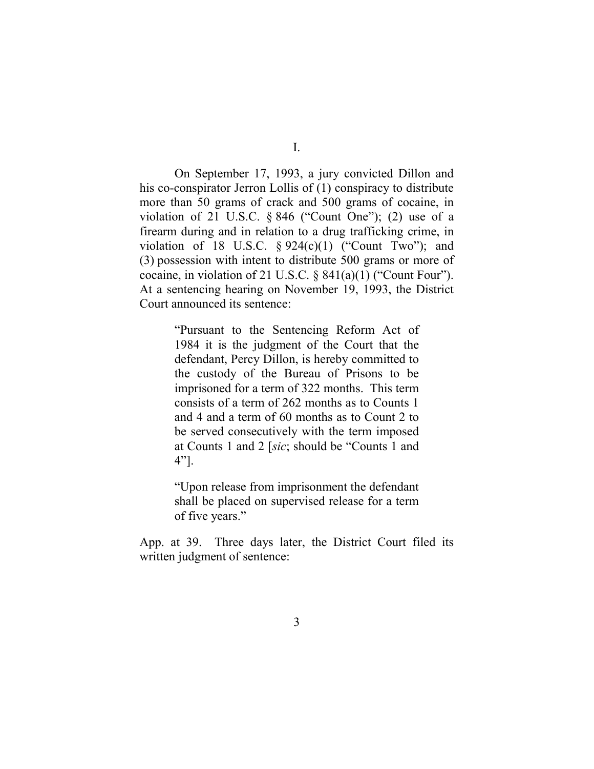On September 17, 1993, a jury convicted Dillon and his co-conspirator Jerron Lollis of (1) conspiracy to distribute more than 50 grams of crack and 500 grams of cocaine, in violation of 21 U.S.C.  $\S 846$  ("Count One"); (2) use of a firearm during and in relation to a drug trafficking crime, in violation of 18 U.S.C.  $\S 924(c)(1)$  ("Count Two"); and (3) possession with intent to distribute 500 grams or more of cocaine, in violation of 21 U.S.C. § 841(a)(1) ("Count Four"). At a sentencing hearing on November 19, 1993, the District Court announced its sentence:

> "Pursuant to the Sentencing Reform Act of 1984 it is the judgment of the Court that the defendant, Percy Dillon, is hereby committed to the custody of the Bureau of Prisons to be imprisoned for a term of 322 months. This term consists of a term of 262 months as to Counts 1 and 4 and a term of 60 months as to Count 2 to be served consecutively with the term imposed at Counts 1 and 2 [*sic*; should be "Counts 1 and 4"].

> "Upon release from imprisonment the defendant shall be placed on supervised release for a term of five years."

App. at 39. Three days later, the District Court filed its written judgment of sentence: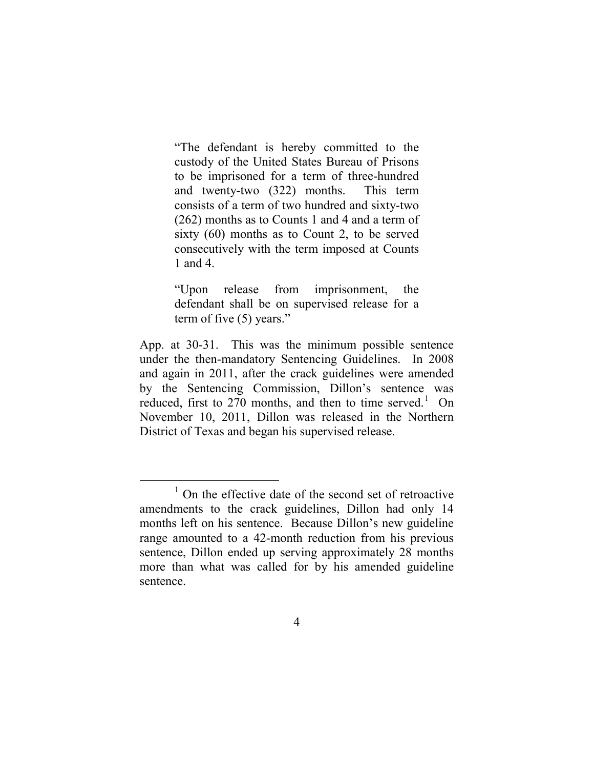"The defendant is hereby committed to the custody of the United States Bureau of Prisons to be imprisoned for a term of three-hundred and twenty-two (322) months. This term consists of a term of two hundred and sixty-two (262) months as to Counts 1 and 4 and a term of sixty (60) months as to Count 2, to be served consecutively with the term imposed at Counts 1 and 4.

"Upon release from imprisonment, the defendant shall be on supervised release for a term of five (5) years."

App. at 30-31. This was the minimum possible sentence under the then-mandatory Sentencing Guidelines. In 2008 and again in 2011, after the crack guidelines were amended by the Sentencing Commission, Dillon's sentence was reduced, first to 270 months, and then to time served.<sup>[1](#page-3-0)</sup> On November 10, 2011, Dillon was released in the Northern District of Texas and began his supervised release.

<span id="page-3-0"></span><sup>&</sup>lt;sup>1</sup> On the effective date of the second set of retroactive amendments to the crack guidelines, Dillon had only 14 months left on his sentence. Because Dillon's new guideline range amounted to a 42-month reduction from his previous sentence, Dillon ended up serving approximately 28 months more than what was called for by his amended guideline sentence.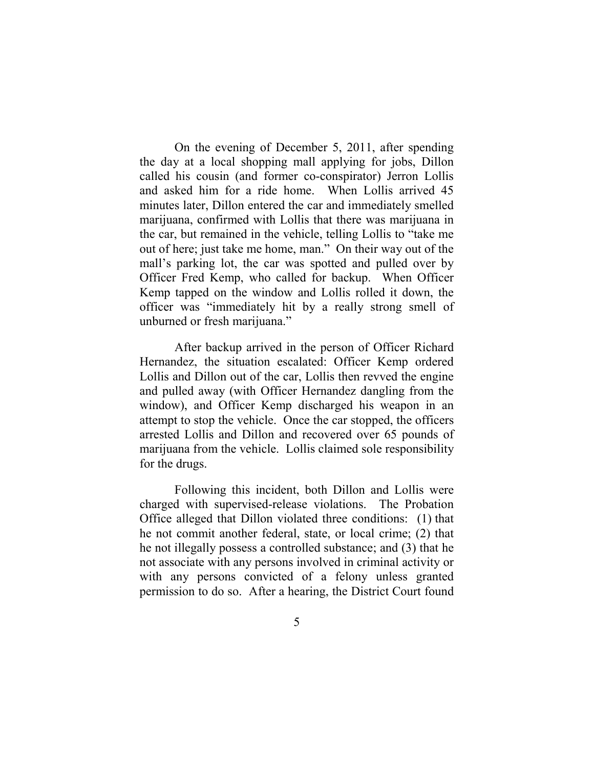On the evening of December 5, 2011, after spending the day at a local shopping mall applying for jobs, Dillon called his cousin (and former co-conspirator) Jerron Lollis and asked him for a ride home. When Lollis arrived 45 minutes later, Dillon entered the car and immediately smelled marijuana, confirmed with Lollis that there was marijuana in the car, but remained in the vehicle, telling Lollis to "take me out of here; just take me home, man." On their way out of the mall's parking lot, the car was spotted and pulled over by Officer Fred Kemp, who called for backup. When Officer Kemp tapped on the window and Lollis rolled it down, the officer was "immediately hit by a really strong smell of unburned or fresh marijuana."

After backup arrived in the person of Officer Richard Hernandez, the situation escalated: Officer Kemp ordered Lollis and Dillon out of the car, Lollis then revved the engine and pulled away (with Officer Hernandez dangling from the window), and Officer Kemp discharged his weapon in an attempt to stop the vehicle. Once the car stopped, the officers arrested Lollis and Dillon and recovered over 65 pounds of marijuana from the vehicle. Lollis claimed sole responsibility for the drugs.

Following this incident, both Dillon and Lollis were charged with supervised-release violations. The Probation Office alleged that Dillon violated three conditions: (1) that he not commit another federal, state, or local crime; (2) that he not illegally possess a controlled substance; and (3) that he not associate with any persons involved in criminal activity or with any persons convicted of a felony unless granted permission to do so. After a hearing, the District Court found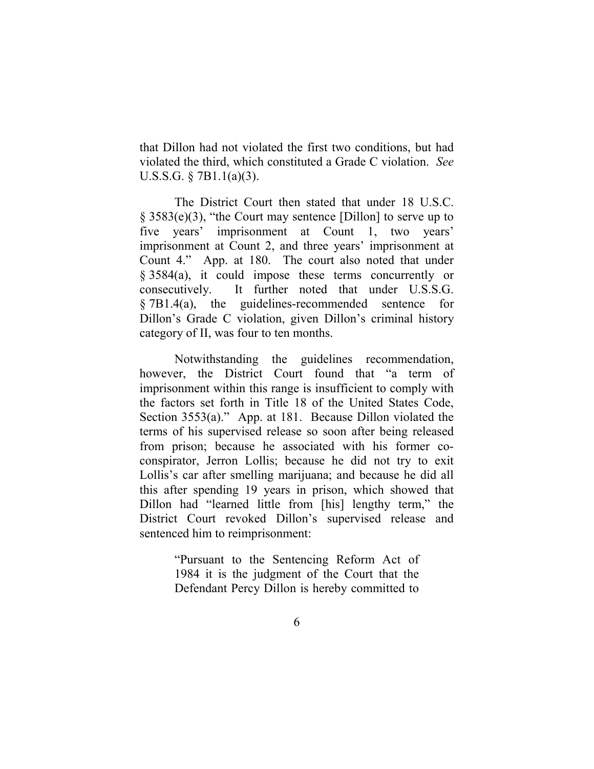that Dillon had not violated the first two conditions, but had violated the third, which constituted a Grade C violation. *See*  U.S.S.G. § 7B1.1(a)(3).

The District Court then stated that under 18 U.S.C.  $\S$  3583(e)(3), "the Court may sentence [Dillon] to serve up to five years' imprisonment at Count 1, two years' imprisonment at Count 2, and three years' imprisonment at Count 4." App. at 180. The court also noted that under § 3584(a), it could impose these terms concurrently or consecutively. It further noted that under U.S.S.G. § 7B1.4(a), the guidelines-recommended sentence for Dillon's Grade C violation, given Dillon's criminal history category of II, was four to ten months.

Notwithstanding the guidelines recommendation, however, the District Court found that "a term of imprisonment within this range is insufficient to comply with the factors set forth in Title 18 of the United States Code, Section 3553(a)." App. at 181. Because Dillon violated the terms of his supervised release so soon after being released from prison; because he associated with his former coconspirator, Jerron Lollis; because he did not try to exit Lollis's car after smelling marijuana; and because he did all this after spending 19 years in prison, which showed that Dillon had "learned little from [his] lengthy term," the District Court revoked Dillon's supervised release and sentenced him to reimprisonment:

> "Pursuant to the Sentencing Reform Act of 1984 it is the judgment of the Court that the Defendant Percy Dillon is hereby committed to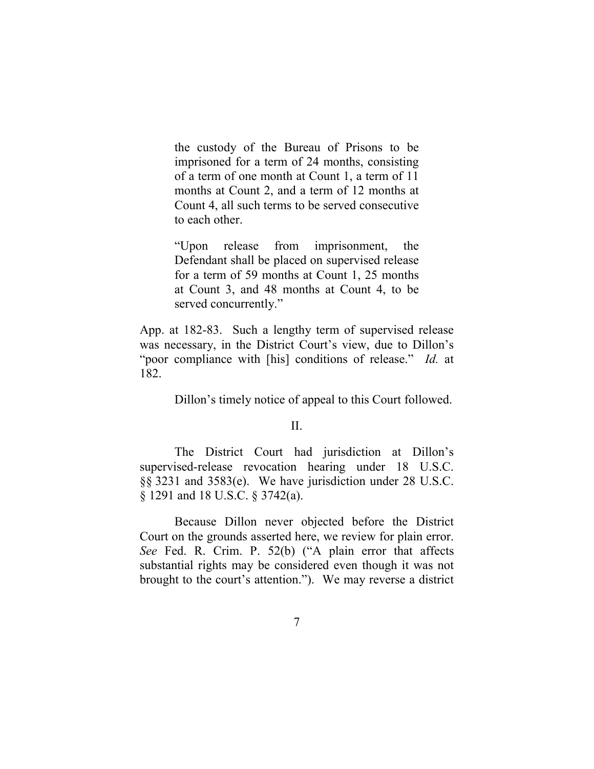the custody of the Bureau of Prisons to be imprisoned for a term of 24 months, consisting of a term of one month at Count 1, a term of 11 months at Count 2, and a term of 12 months at Count 4, all such terms to be served consecutive to each other.

"Upon release from imprisonment, the Defendant shall be placed on supervised release for a term of 59 months at Count 1, 25 months at Count 3, and 48 months at Count 4, to be served concurrently."

App. at 182-83. Such a lengthy term of supervised release was necessary, in the District Court's view, due to Dillon's "poor compliance with [his] conditions of release." *Id.* at 182.

Dillon's timely notice of appeal to this Court followed.

### $II$ .

The District Court had jurisdiction at Dillon's supervised-release revocation hearing under 18 U.S.C. §§ 3231 and 3583(e). We have jurisdiction under 28 U.S.C. § 1291 and 18 U.S.C. § 3742(a).

Because Dillon never objected before the District Court on the grounds asserted here, we review for plain error. *See* Fed. R. Crim. P. 52(b) ("A plain error that affects substantial rights may be considered even though it was not brought to the court's attention."). We may reverse a district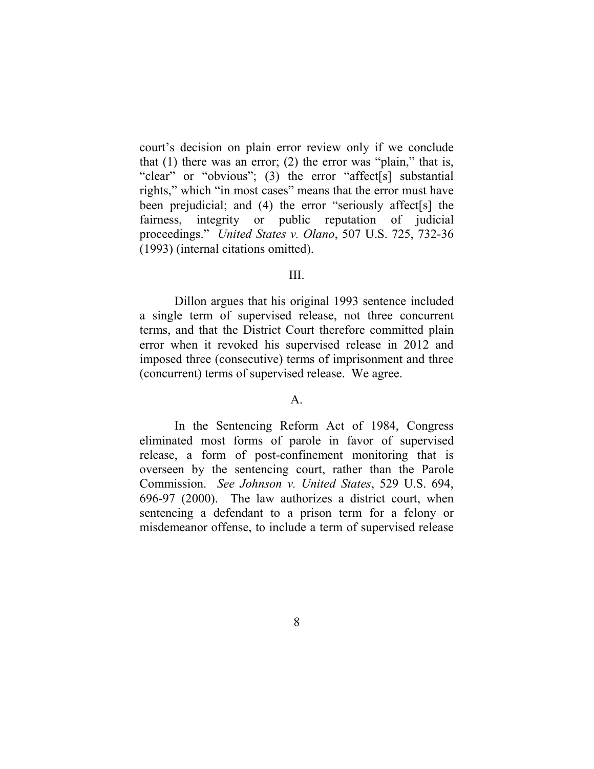court's decision on plain error review only if we conclude that  $(1)$  there was an error;  $(2)$  the error was "plain," that is, "clear" or "obvious"; (3) the error "affect[s] substantial rights," which "in most cases" means that the error must have been prejudicial; and (4) the error "seriously affect[s] the fairness, integrity or public reputation of judicial proceedings." *United States v. Olano*, 507 U.S. 725, 732-36 (1993) (internal citations omitted).

### III.

Dillon argues that his original 1993 sentence included a single term of supervised release, not three concurrent terms, and that the District Court therefore committed plain error when it revoked his supervised release in 2012 and imposed three (consecutive) terms of imprisonment and three (concurrent) terms of supervised release. We agree.

#### A.

In the Sentencing Reform Act of 1984, Congress eliminated most forms of parole in favor of supervised release, a form of post-confinement monitoring that is overseen by the sentencing court, rather than the Parole Commission. *See Johnson v. United States*, 529 U.S. 694, 696-97 (2000). The law authorizes a district court, when sentencing a defendant to a prison term for a felony or misdemeanor offense, to include a term of supervised release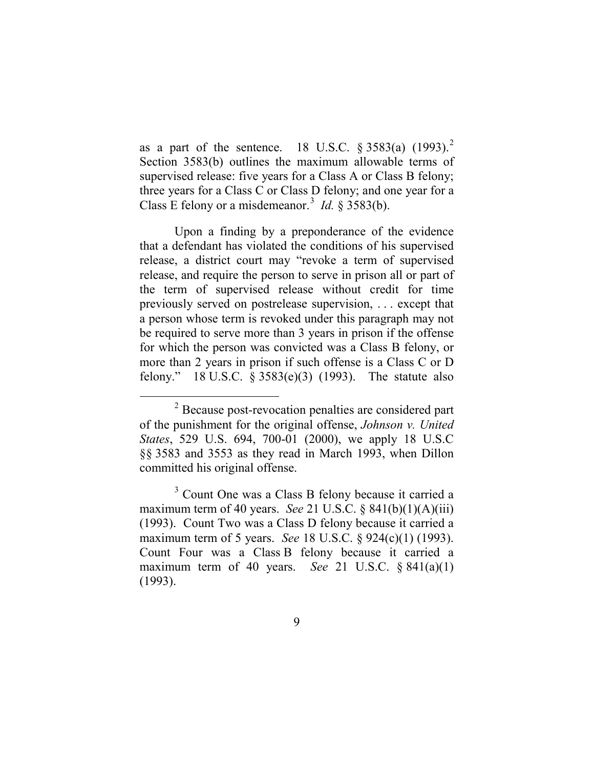as a part of the sentence. 18 U.S.C.  $\S 3583(a)$  (1993).<sup>[2](#page-8-0)</sup> Section 3583(b) outlines the maximum allowable terms of supervised release: five years for a Class A or Class B felony; three years for a Class C or Class D felony; and one year for a Class E felony or a misdemeanor.<sup>[3](#page-8-1)</sup> *Id.* § 3583(b).

Upon a finding by a preponderance of the evidence that a defendant has violated the conditions of his supervised release, a district court may "revoke a term of supervised release, and require the person to serve in prison all or part of the term of supervised release without credit for time previously served on postrelease supervision, . . . except that a person whose term is revoked under this paragraph may not be required to serve more than 3 years in prison if the offense for which the person was convicted was a Class B felony, or more than 2 years in prison if such offense is a Class C or D felony." 18 U.S.C. § 3583(e)(3) (1993). The statute also

<span id="page-8-0"></span> <sup>2</sup> Because post-revocation penalties are considered part of the punishment for the original offense, *Johnson v. United States*, 529 U.S. 694, 700-01 (2000), we apply 18 U.S.C §§ 3583 and 3553 as they read in March 1993, when Dillon committed his original offense.

<span id="page-8-1"></span><sup>3</sup> Count One was a Class B felony because it carried a maximum term of 40 years. *See* 21 U.S.C. § 841(b)(1)(A)(iii) (1993). Count Two was a Class D felony because it carried a maximum term of 5 years. *See* 18 U.S.C. § 924(c)(1) (1993). Count Four was a Class B felony because it carried a maximum term of 40 years. *See* 21 U.S.C. § 841(a)(1) (1993).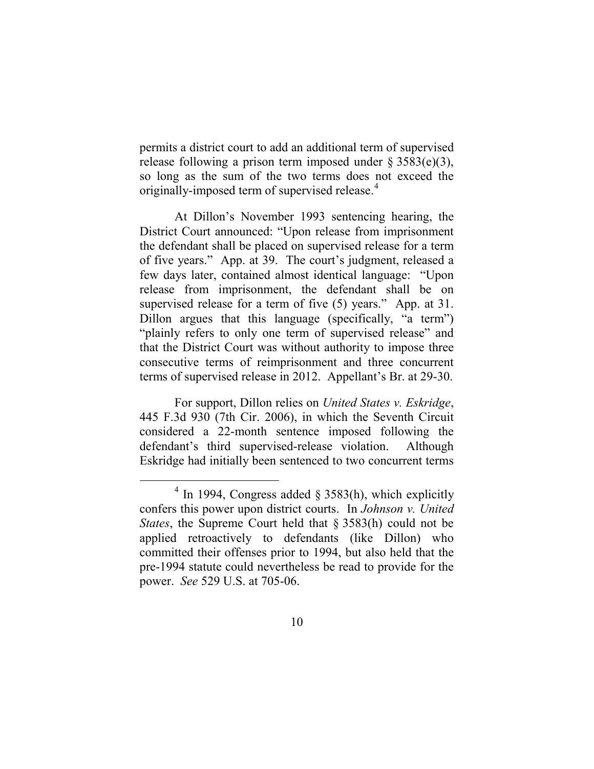permits a district court to add an additional term of supervised release following a prison term imposed under  $\S 3583(e)(3)$ , so long as the sum of the two terms does not exceed the originally-imposed term of supervised release.<sup>[4](#page-9-0)</sup>

At Dillon's November 1993 sentencing hearing, the District Court announced: "Upon release from imprisonment the defendant shall be placed on supervised release for a term of five years." App. at 39. The court's judgment, released a few days later, contained almost identical language: "Upon release from imprisonment, the defendant shall be on supervised release for a term of five (5) years." App. at 31. Dillon argues that this language (specifically, "a term") "plainly refers to only one term of supervised release" and that the District Court was without authority to impose three consecutive terms of reimprisonment and three concurrent terms of supervised release in 2012. Appellant's Br. at 29-30.

For support, Dillon relies on *United States v. Eskridge*, 445 F.3d 930 (7th Cir. 2006), in which the Seventh Circuit considered a 22-month sentence imposed following the defendant's third supervised-release violation. Although Eskridge had initially been sentenced to two concurrent terms

<span id="page-9-0"></span> $4 \text{ In } 1994$ , Congress added  $\frac{83583(h)}{h}$ , which explicitly confers this power upon district courts. In *Johnson v. United States*, the Supreme Court held that § 3583(h) could not be applied retroactively to defendants (like Dillon) who committed their offenses prior to 1994, but also held that the pre-1994 statute could nevertheless be read to provide for the power. *See* 529 U.S. at 705-06.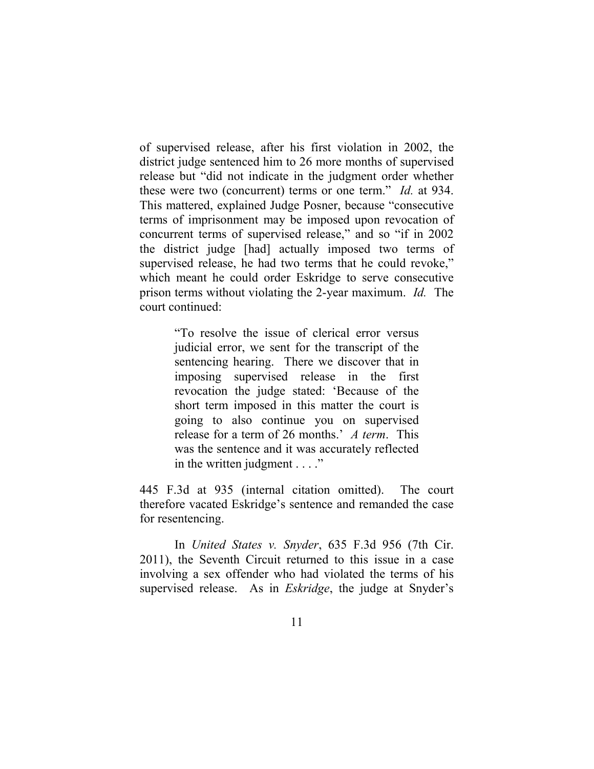of supervised release, after his first violation in 2002, the district judge sentenced him to 26 more months of supervised release but "did not indicate in the judgment order whether these were two (concurrent) terms or one term." *Id.* at 934. This mattered, explained Judge Posner, because "consecutive terms of imprisonment may be imposed upon revocation of concurrent terms of supervised release," and so "if in 2002 the district judge [had] actually imposed two terms of supervised release, he had two terms that he could revoke," which meant he could order Eskridge to serve consecutive prison terms without violating the 2-year maximum. *Id.* The court continued:

> "To resolve the issue of clerical error versus judicial error, we sent for the transcript of the sentencing hearing. There we discover that in imposing supervised release in the first revocation the judge stated: 'Because of the short term imposed in this matter the court is going to also continue you on supervised release for a term of 26 months.' *A term*. This was the sentence and it was accurately reflected in the written judgment . . . ."

445 F.3d at 935 (internal citation omitted). The court therefore vacated Eskridge's sentence and remanded the case for resentencing.

In *United States v. Snyder*, 635 F.3d 956 (7th Cir. 2011), the Seventh Circuit returned to this issue in a case involving a sex offender who had violated the terms of his supervised release. As in *Eskridge*, the judge at Snyder's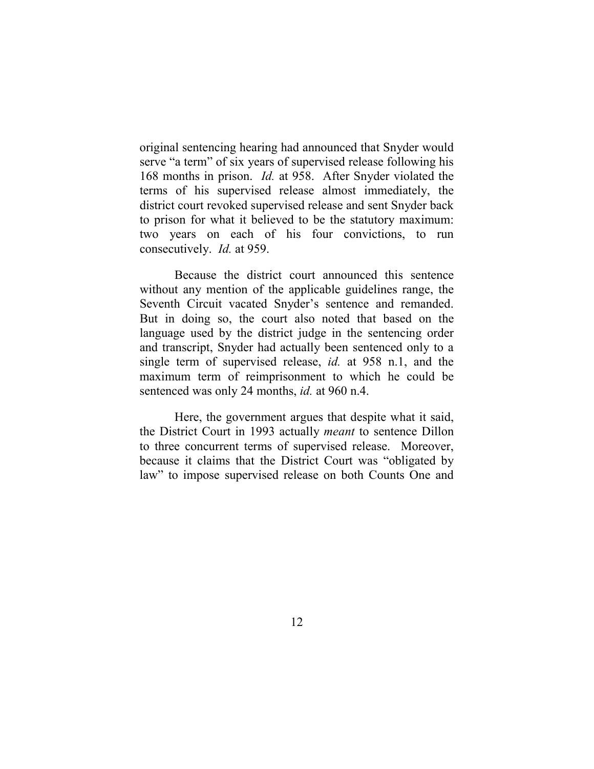original sentencing hearing had announced that Snyder would serve "a term" of six years of supervised release following his 168 months in prison. *Id.* at 958. After Snyder violated the terms of his supervised release almost immediately, the district court revoked supervised release and sent Snyder back to prison for what it believed to be the statutory maximum: two years on each of his four convictions, to run consecutively. *Id.* at 959.

Because the district court announced this sentence without any mention of the applicable guidelines range, the Seventh Circuit vacated Snyder's sentence and remanded. But in doing so, the court also noted that based on the language used by the district judge in the sentencing order and transcript, Snyder had actually been sentenced only to a single term of supervised release, *id.* at 958 n.1, and the maximum term of reimprisonment to which he could be sentenced was only 24 months, *id.* at 960 n.4.

Here, the government argues that despite what it said, the District Court in 1993 actually *meant* to sentence Dillon to three concurrent terms of supervised release. Moreover, because it claims that the District Court was "obligated by law" to impose supervised release on both Counts One and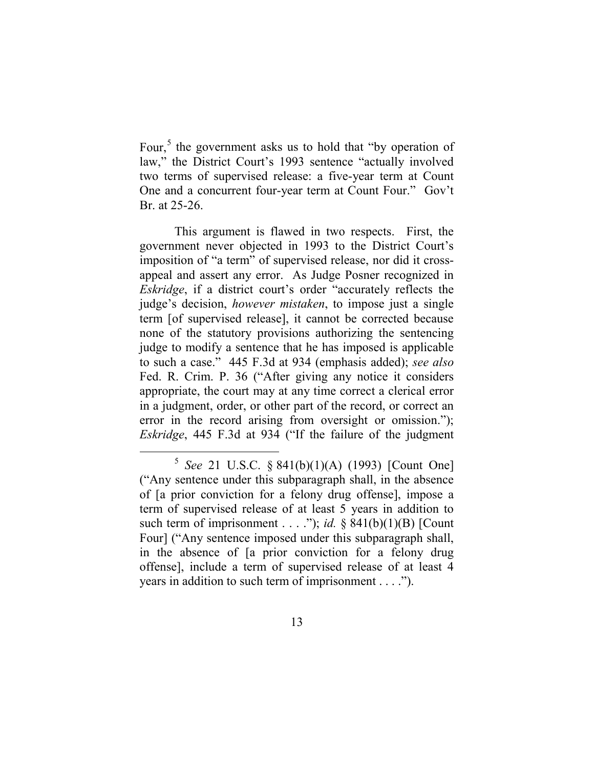Four,<sup>[5](#page-12-0)</sup> the government asks us to hold that "by operation of law," the District Court's 1993 sentence "actually involved two terms of supervised release: a five-year term at Count One and a concurrent four-year term at Count Four." Gov't Br. at 25-26.

This argument is flawed in two respects. First, the government never objected in 1993 to the District Court's imposition of "a term" of supervised release, nor did it crossappeal and assert any error. As Judge Posner recognized in *Eskridge*, if a district court's order "accurately reflects the judge's decision, *however mistaken*, to impose just a single term [of supervised release], it cannot be corrected because none of the statutory provisions authorizing the sentencing judge to modify a sentence that he has imposed is applicable to such a case." 445 F.3d at 934 (emphasis added); *see also*  Fed. R. Crim. P. 36 ("After giving any notice it considers appropriate, the court may at any time correct a clerical error in a judgment, order, or other part of the record, or correct an error in the record arising from oversight or omission."); *Eskridge*, 445 F.3d at 934 ("If the failure of the judgment

<span id="page-12-0"></span> <sup>5</sup> *See* 21 U.S.C. § 841(b)(1)(A) (1993) [Count One] ("Any sentence under this subparagraph shall, in the absence of [a prior conviction for a felony drug offense], impose a term of supervised release of at least 5 years in addition to such term of imprisonment . . . ."); *id.* § 841(b)(1)(B) [Count Four] ("Any sentence imposed under this subparagraph shall, in the absence of [a prior conviction for a felony drug offense], include a term of supervised release of at least 4 years in addition to such term of imprisonment . . . .").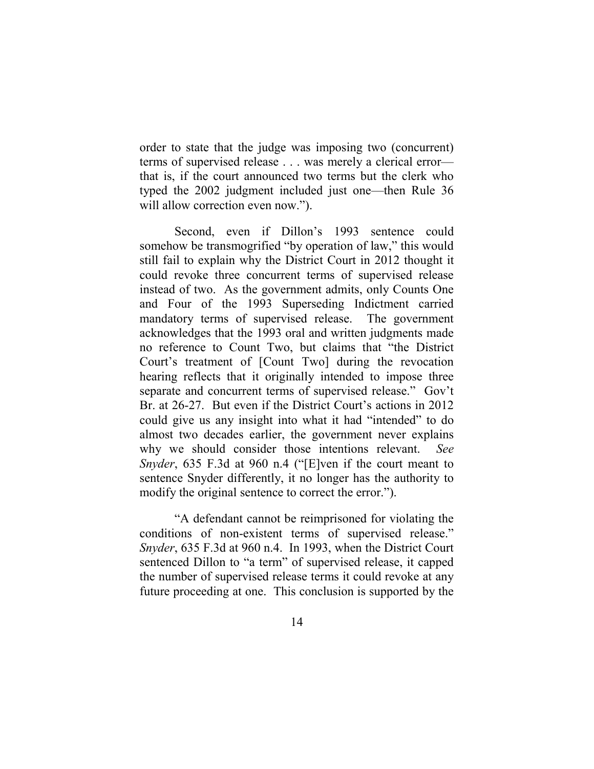order to state that the judge was imposing two (concurrent) terms of supervised release . . . was merely a clerical error that is, if the court announced two terms but the clerk who typed the 2002 judgment included just one—then Rule 36 will allow correction even now.").

Second, even if Dillon's 1993 sentence could somehow be transmogrified "by operation of law," this would still fail to explain why the District Court in 2012 thought it could revoke three concurrent terms of supervised release instead of two. As the government admits, only Counts One and Four of the 1993 Superseding Indictment carried mandatory terms of supervised release. The government acknowledges that the 1993 oral and written judgments made no reference to Count Two, but claims that "the District Court's treatment of [Count Two] during the revocation hearing reflects that it originally intended to impose three separate and concurrent terms of supervised release." Gov't Br. at 26-27. But even if the District Court's actions in 2012 could give us any insight into what it had "intended" to do almost two decades earlier, the government never explains why we should consider those intentions relevant. *See Snyder*, 635 F.3d at 960 n.4 ("[E]ven if the court meant to sentence Snyder differently, it no longer has the authority to modify the original sentence to correct the error.").

"A defendant cannot be reimprisoned for violating the conditions of non-existent terms of supervised release." *Snyder*, 635 F.3d at 960 n.4. In 1993, when the District Court sentenced Dillon to "a term" of supervised release, it capped the number of supervised release terms it could revoke at any future proceeding at one. This conclusion is supported by the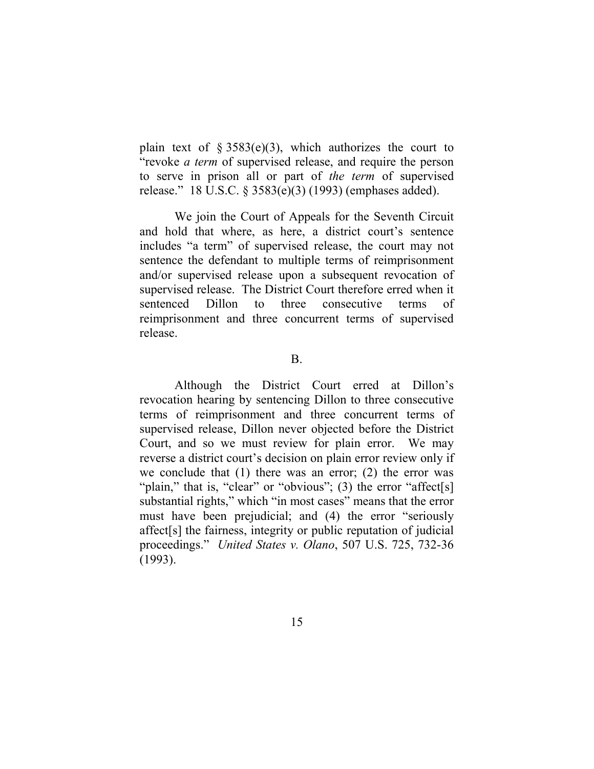plain text of §  $3583(e)(3)$ , which authorizes the court to "revoke *a term* of supervised release, and require the person to serve in prison all or part of *the term* of supervised release." 18 U.S.C. § 3583(e)(3) (1993) (emphases added).

We join the Court of Appeals for the Seventh Circuit and hold that where, as here, a district court's sentence includes "a term" of supervised release, the court may not sentence the defendant to multiple terms of reimprisonment and/or supervised release upon a subsequent revocation of supervised release. The District Court therefore erred when it sentenced Dillon to three consecutive terms of reimprisonment and three concurrent terms of supervised release.

B.

Although the District Court erred at Dillon's revocation hearing by sentencing Dillon to three consecutive terms of reimprisonment and three concurrent terms of supervised release, Dillon never objected before the District Court, and so we must review for plain error. We may reverse a district court's decision on plain error review only if we conclude that  $(1)$  there was an error;  $(2)$  the error was "plain," that is, "clear" or "obvious"; (3) the error "affect[s] substantial rights," which "in most cases" means that the error must have been prejudicial; and (4) the error "seriously affect[s] the fairness, integrity or public reputation of judicial proceedings." *United States v. Olano*, 507 U.S. 725, 732-36 (1993).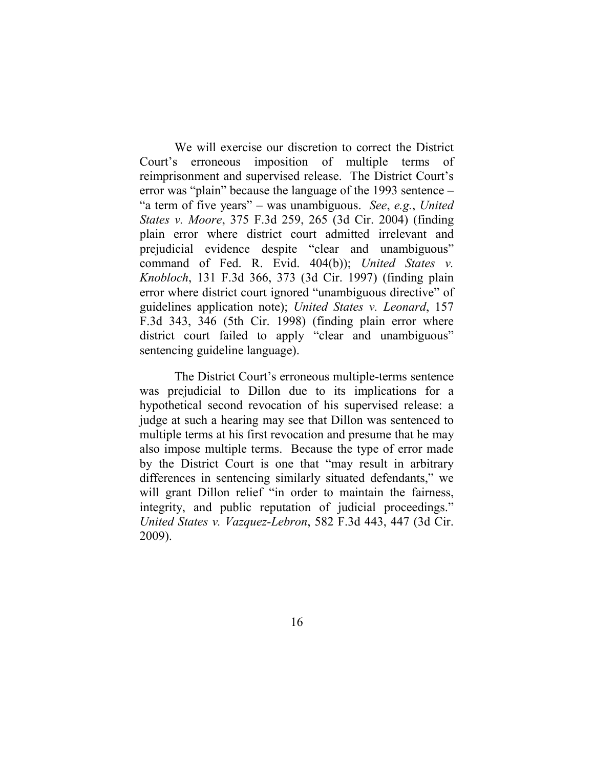We will exercise our discretion to correct the District Court's erroneous imposition of multiple terms of reimprisonment and supervised release. The District Court's error was "plain" because the language of the 1993 sentence – "a term of five years" – was unambiguous. *See*, *e.g.*, *United States v. Moore*, 375 F.3d 259, 265 (3d Cir. 2004) (finding plain error where district court admitted irrelevant and prejudicial evidence despite "clear and unambiguous" command of Fed. R. Evid. 404(b)); *United States v. Knobloch*, 131 F.3d 366, 373 (3d Cir. 1997) (finding plain error where district court ignored "unambiguous directive" of guidelines application note); *United States v. Leonard*, 157 F.3d 343, 346 (5th Cir. 1998) (finding plain error where district court failed to apply "clear and unambiguous" sentencing guideline language).

The District Court's erroneous multiple-terms sentence was prejudicial to Dillon due to its implications for a hypothetical second revocation of his supervised release: a judge at such a hearing may see that Dillon was sentenced to multiple terms at his first revocation and presume that he may also impose multiple terms. Because the type of error made by the District Court is one that "may result in arbitrary differences in sentencing similarly situated defendants," we will grant Dillon relief "in order to maintain the fairness, integrity, and public reputation of judicial proceedings." *United States v. Vazquez-Lebron*, 582 F.3d 443, 447 (3d Cir. 2009).